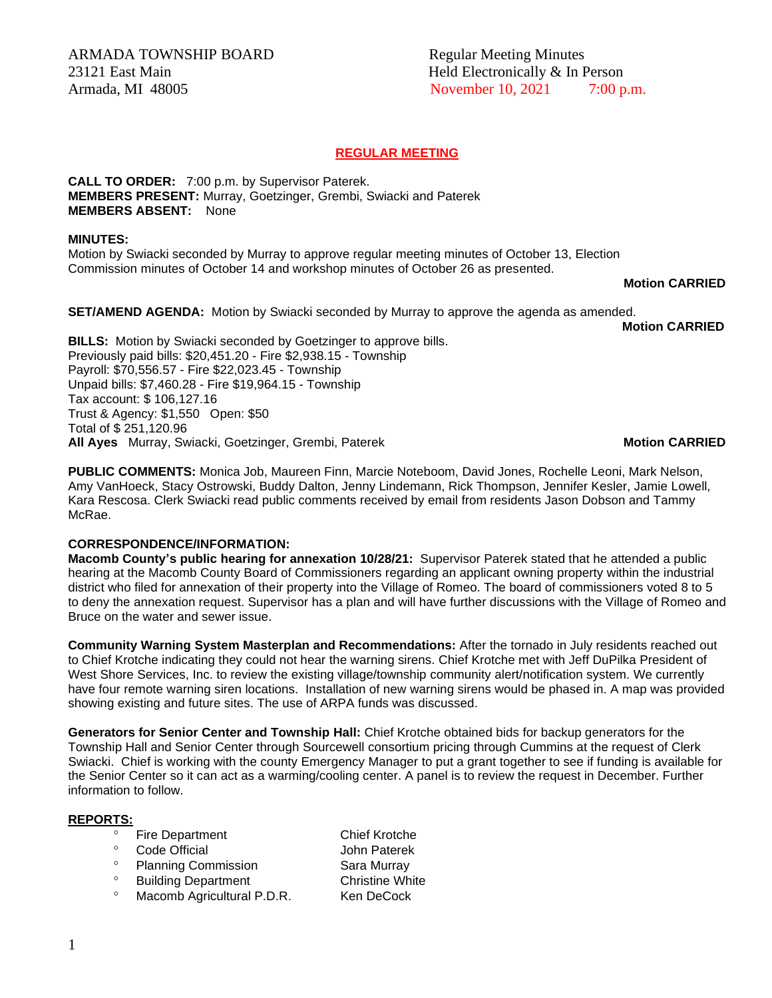ARMADA TOWNSHIP BOARD Regular Meeting Minutes 23121 East Main **Held Electronically & In Person** 

## **REGULAR MEETING**

**CALL TO ORDER:** 7:00 p.m. by Supervisor Paterek. **MEMBERS PRESENT:** Murray, Goetzinger, Grembi, Swiacki and Paterek **MEMBERS ABSENT:** None

### **MINUTES:**

Motion by Swiacki seconded by Murray to approve regular meeting minutes of October 13, Election Commission minutes of October 14 and workshop minutes of October 26 as presented.

**Motion CARRIED** 

**SET/AMEND AGENDA:** Motion by Swiacki seconded by Murray to approve the agenda as amended.

**Motion CARRIED**

**BILLS:** Motion by Swiacki seconded by Goetzinger to approve bills. Previously paid bills: \$20,451.20 - Fire \$2,938.15 - Township Payroll: \$70,556.57 - Fire \$22,023.45 - Township Unpaid bills: \$7,460.28 - Fire \$19,964.15 - Township Tax account: \$ 106,127.16 Trust & Agency: \$1,550 Open: \$50 Total of \$ 251,120.96 **All Ayes** Murray, Swiacki, Goetzinger, Grembi, Paterek **Motion CARRIED**

**PUBLIC COMMENTS:** Monica Job, Maureen Finn, Marcie Noteboom, David Jones, Rochelle Leoni, Mark Nelson, Amy VanHoeck, Stacy Ostrowski, Buddy Dalton, Jenny Lindemann, Rick Thompson, Jennifer Kesler, Jamie Lowell, Kara Rescosa. Clerk Swiacki read public comments received by email from residents Jason Dobson and Tammy McRae.

## **CORRESPONDENCE/INFORMATION:**

**Macomb County's public hearing for annexation 10/28/21:** Supervisor Paterek stated that he attended a public hearing at the Macomb County Board of Commissioners regarding an applicant owning property within the industrial district who filed for annexation of their property into the Village of Romeo. The board of commissioners voted 8 to 5 to deny the annexation request. Supervisor has a plan and will have further discussions with the Village of Romeo and Bruce on the water and sewer issue.

**Community Warning System Masterplan and Recommendations:** After the tornado in July residents reached out to Chief Krotche indicating they could not hear the warning sirens. Chief Krotche met with Jeff DuPilka President of West Shore Services, Inc. to review the existing village/township community alert/notification system. We currently have four remote warning siren locations. Installation of new warning sirens would be phased in. A map was provided showing existing and future sites. The use of ARPA funds was discussed.

**Generators for Senior Center and Township Hall:** Chief Krotche obtained bids for backup generators for the Township Hall and Senior Center through Sourcewell consortium pricing through Cummins at the request of Clerk Swiacki. Chief is working with the county Emergency Manager to put a grant together to see if funding is available for the Senior Center so it can act as a warming/cooling center. A panel is to review the request in December. Further information to follow.

## **REPORTS:**

- ° Fire Department Chief Krotche<br>€ Code Official Chief Hotel Paterek
- 
- <sup>o</sup> Planning Commission **Sara Murray**
- <sup>o</sup> Building Department Christine White
- <sup>o</sup> Macomb Agricultural P.D.R. Ken DeCock
- Code Official **Code Official** John Paterek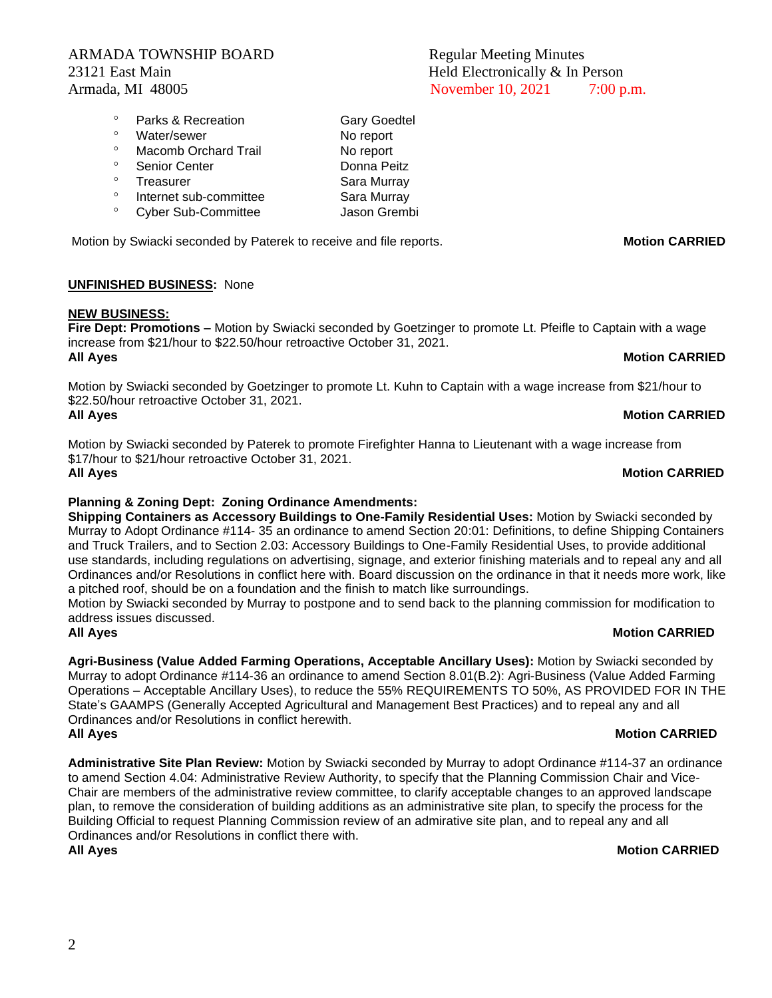## ARMADA TOWNSHIP BOARD Regular Meeting Minutes 23121 East Main **Held Electronically & In Person**

## <sup>o</sup> Parks & Recreation Gary Goedtel <sup>o</sup> Water/sewer No report <sup>o</sup> Macomb Orchard Trail **No report**<br>
<sup>8</sup> Sepier Conter Senior Center Donna Peitz Treasurer Sara Murray <sup>o</sup> Internet sub-committee Sara Murray Cyber Sub-Committee Jason Grembi

Motion by Swiacki seconded by Paterek to receive and file reports. **Motion CARRIED** 

## **UNFINISHED BUSINESS:** None

## **NEW BUSINESS:**

**Fire Dept: Promotions –** Motion by Swiacki seconded by Goetzinger to promote Lt. Pfeifle to Captain with a wage increase from \$21/hour to \$22.50/hour retroactive October 31, 2021. **All Ayes** Motion CARRIED

Motion by Swiacki seconded by Goetzinger to promote Lt. Kuhn to Captain with a wage increase from \$21/hour to \$22.50/hour retroactive October 31, 2021. **All Ayes** Motion CARRIED

Motion by Swiacki seconded by Paterek to promote Firefighter Hanna to Lieutenant with a wage increase from \$17/hour to \$21/hour retroactive October 31, 2021.

## **Planning & Zoning Dept: Zoning Ordinance Amendments:**

**Shipping Containers as Accessory Buildings to One-Family Residential Uses:** Motion by Swiacki seconded by Murray to Adopt Ordinance #114- 35 an ordinance to amend Section 20:01: Definitions, to define Shipping Containers and Truck Trailers, and to Section 2.03: Accessory Buildings to One-Family Residential Uses, to provide additional use standards, including regulations on advertising, signage, and exterior finishing materials and to repeal any and all Ordinances and/or Resolutions in conflict here with. Board discussion on the ordinance in that it needs more work, like a pitched roof, should be on a foundation and the finish to match like surroundings.

Motion by Swiacki seconded by Murray to postpone and to send back to the planning commission for modification to address issues discussed. **All Ayes Motion CARRIED**

**Agri-Business (Value Added Farming Operations, Acceptable Ancillary Uses):** Motion by Swiacki seconded by Murray to adopt Ordinance #114-36 an ordinance to amend Section 8.01(B.2): Agri-Business (Value Added Farming Operations – Acceptable Ancillary Uses), to reduce the 55% REQUIREMENTS TO 50%, AS PROVIDED FOR IN THE State's GAAMPS (Generally Accepted Agricultural and Management Best Practices) and to repeal any and all Ordinances and/or Resolutions in conflict herewith. **All Ayes** Motion CARRIED

**Administrative Site Plan Review:** Motion by Swiacki seconded by Murray to adopt Ordinance #114-37 an ordinance to amend Section 4.04: Administrative Review Authority, to specify that the Planning Commission Chair and Vice-Chair are members of the administrative review committee, to clarify acceptable changes to an approved landscape plan, to remove the consideration of building additions as an administrative site plan, to specify the process for the Building Official to request Planning Commission review of an admirative site plan, and to repeal any and all Ordinances and/or Resolutions in conflict there with. **All Ayes** Motion CARRIED

# Armada, MI 48005 10.000 November 10, 2021 7:00 p.m.

## **All Ayes** Motion CARRIED